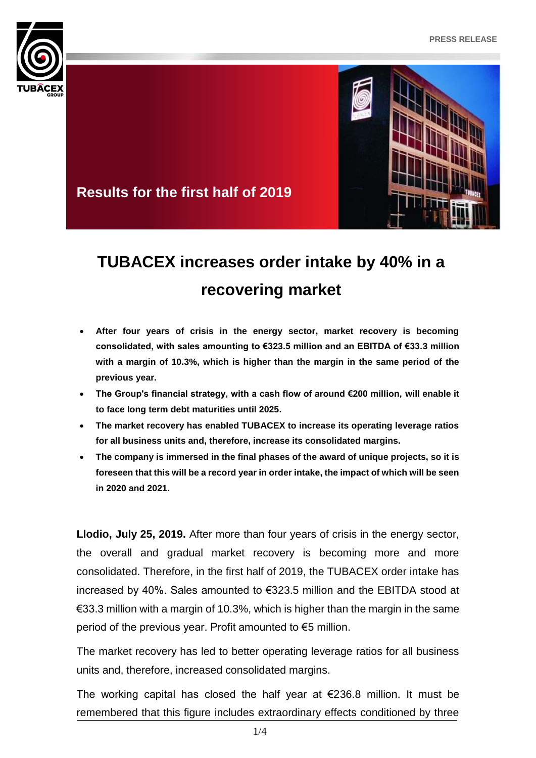



## **Results for the first half of 2019**

# **TUBACEX increases order intake by 40% in a recovering market**

- **After four years of crisis in the energy sector, market recovery is becoming consolidated, with sales amounting to €323.5 million and an EBITDA of €33.3 million with a margin of 10.3%, which is higher than the margin in the same period of the previous year.**
- **The Group's financial strategy, with a cash flow of around €200 million, will enable it to face long term debt maturities until 2025.**
- **The market recovery has enabled TUBACEX to increase its operating leverage ratios for all business units and, therefore, increase its consolidated margins.**
- **The company is immersed in the final phases of the award of unique projects, so it is foreseen that this will be a record year in order intake, the impact of which will be seen in 2020 and 2021.**

**Llodio, July 25, 2019.** After more than four years of crisis in the energy sector, the overall and gradual market recovery is becoming more and more consolidated. Therefore, in the first half of 2019, the TUBACEX order intake has increased by 40%. Sales amounted to €323.5 million and the EBITDA stood at €33.3 million with a margin of 10.3%, which is higher than the margin in the same period of the previous year. Profit amounted to €5 million.

The market recovery has led to better operating leverage ratios for all business units and, therefore, increased consolidated margins.

The working capital has closed the half year at  $\epsilon$ 236.8 million. It must be remembered that this figure includes extraordinary effects conditioned by three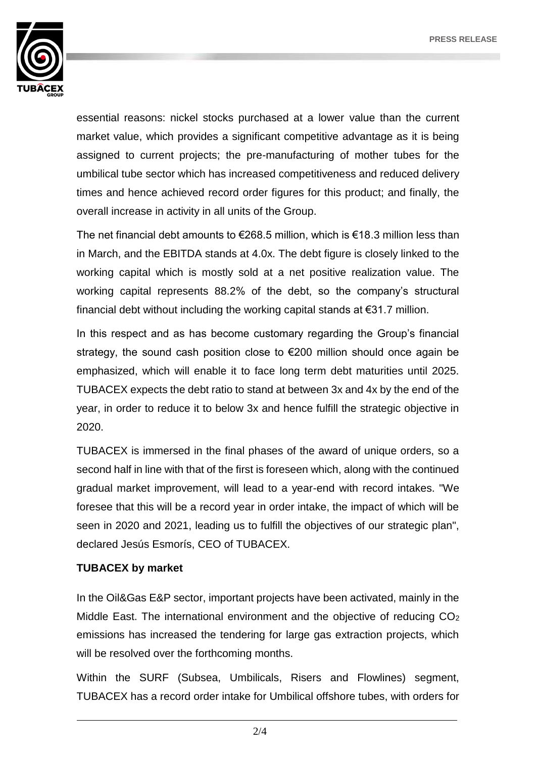

essential reasons: nickel stocks purchased at a lower value than the current market value, which provides a significant competitive advantage as it is being assigned to current projects; the pre-manufacturing of mother tubes for the umbilical tube sector which has increased competitiveness and reduced delivery times and hence achieved record order figures for this product; and finally, the overall increase in activity in all units of the Group.

The net financial debt amounts to €268.5 million, which is €18.3 million less than in March, and the EBITDA stands at 4.0x. The debt figure is closely linked to the working capital which is mostly sold at a net positive realization value. The working capital represents 88.2% of the debt, so the company's structural financial debt without including the working capital stands at  $\epsilon$ 31.7 million.

In this respect and as has become customary regarding the Group's financial strategy, the sound cash position close to €200 million should once again be emphasized, which will enable it to face long term debt maturities until 2025. TUBACEX expects the debt ratio to stand at between 3x and 4x by the end of the year, in order to reduce it to below 3x and hence fulfill the strategic objective in 2020.

TUBACEX is immersed in the final phases of the award of unique orders, so a second half in line with that of the first is foreseen which, along with the continued gradual market improvement, will lead to a year-end with record intakes. "We foresee that this will be a record year in order intake, the impact of which will be seen in 2020 and 2021, leading us to fulfill the objectives of our strategic plan", declared Jesús Esmorís, CEO of TUBACEX.

#### **TUBACEX by market**

In the Oil&Gas E&P sector, important projects have been activated, mainly in the Middle East. The international environment and the objective of reducing  $CO<sub>2</sub>$ emissions has increased the tendering for large gas extraction projects, which will be resolved over the forthcoming months.

Within the SURF (Subsea, Umbilicals, Risers and Flowlines) segment, TUBACEX has a record order intake for Umbilical offshore tubes, with orders for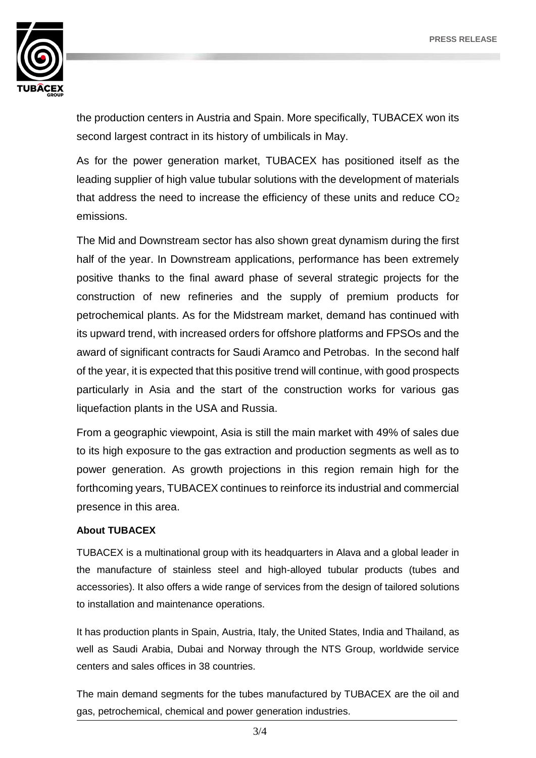

the production centers in Austria and Spain. More specifically, TUBACEX won its second largest contract in its history of umbilicals in May.

As for the power generation market, TUBACEX has positioned itself as the leading supplier of high value tubular solutions with the development of materials that address the need to increase the efficiency of these units and reduce  $CO<sub>2</sub>$ emissions.

The Mid and Downstream sector has also shown great dynamism during the first half of the year. In Downstream applications, performance has been extremely positive thanks to the final award phase of several strategic projects for the construction of new refineries and the supply of premium products for petrochemical plants. As for the Midstream market, demand has continued with its upward trend, with increased orders for offshore platforms and FPSOs and the award of significant contracts for Saudi Aramco and Petrobas. In the second half of the year, it is expected that this positive trend will continue, with good prospects particularly in Asia and the start of the construction works for various gas liquefaction plants in the USA and Russia.

From a geographic viewpoint, Asia is still the main market with 49% of sales due to its high exposure to the gas extraction and production segments as well as to power generation. As growth projections in this region remain high for the forthcoming years, TUBACEX continues to reinforce its industrial and commercial presence in this area.

#### **About TUBACEX**

TUBACEX is a multinational group with its headquarters in Alava and a global leader in the manufacture of stainless steel and high-alloyed tubular products (tubes and accessories). It also offers a wide range of services from the design of tailored solutions to installation and maintenance operations.

It has production plants in Spain, Austria, Italy, the United States, India and Thailand, as well as Saudi Arabia, Dubai and Norway through the NTS Group, worldwide service centers and sales offices in 38 countries.

The main demand segments for the tubes manufactured by TUBACEX are the oil and gas, petrochemical, chemical and power generation industries.